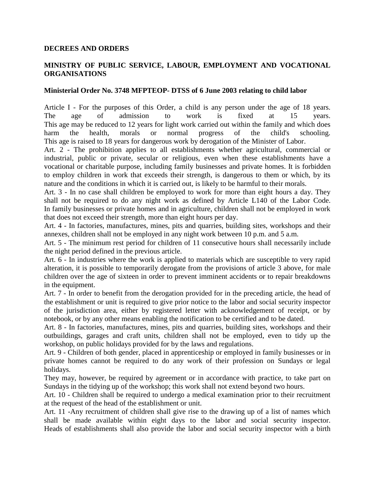## **DECREES AND ORDERS**

## **MINISTRY OF PUBLIC SERVICE, LABOUR, EMPLOYMENT AND VOCATIONAL ORGANISATIONS**

## **Ministerial Order No. 3748 MFPTEOP- DTSS of 6 June 2003 relating to child labor**

Article I - For the purposes of this Order, a child is any person under the age of 18 years. The age of admission to work is fixed at 15 years. This age may be reduced to 12 years for light work carried out within the family and which does harm the health, morals or normal progress of the child's schooling. This age is raised to 18 years for dangerous work by derogation of the Minister of Labor.

Art. 2 - The prohibition applies to all establishments whether agricultural, commercial or industrial, public or private, secular or religious, even when these establishments have a vocational or charitable purpose, including family businesses and private homes. It is forbidden to employ children in work that exceeds their strength, is dangerous to them or which, by its nature and the conditions in which it is carried out, is likely to be harmful to their morals.

Art. 3 - In no case shall children be employed to work for more than eight hours a day. They shall not be required to do any night work as defined by Article L140 of the Labor Code. In family businesses or private homes and in agriculture, children shall not be employed in work that does not exceed their strength, more than eight hours per day.

Art. 4 - In factories, manufactures, mines, pits and quarries, building sites, workshops and their annexes, children shall not be employed in any night work between 10 p.m. and 5 a.m.

Art. 5 - The minimum rest period for children of 11 consecutive hours shall necessarily include the night period defined in the previous article.

Art. 6 - In industries where the work is applied to materials which are susceptible to very rapid alteration, it is possible to temporarily derogate from the provisions of article 3 above, for male children over the age of sixteen in order to prevent imminent accidents or to repair breakdowns in the equipment.

Art. 7 - In order to benefit from the derogation provided for in the preceding article, the head of the establishment or unit is required to give prior notice to the labor and social security inspector of the jurisdiction area, either by registered letter with acknowledgement of receipt, or by notebook, or by any other means enabling the notification to be certified and to be dated.

Art. 8 - In factories, manufactures, mines, pits and quarries, building sites, workshops and their outbuildings, garages and craft units, children shall not be employed, even to tidy up the workshop, on public holidays provided for by the laws and regulations.

Art. 9 - Children of both gender, placed in apprenticeship or employed in family businesses or in private homes cannot be required to do any work of their profession on Sundays or legal holidays.

They may, however, be required by agreement or in accordance with practice, to take part on Sundays in the tidying up of the workshop; this work shall not extend beyond two hours.

Art. 10 - Children shall be required to undergo a medical examination prior to their recruitment at the request of the head of the establishment or unit.

Art. 11 -Any recruitment of children shall give rise to the drawing up of a list of names which shall be made available within eight days to the labor and social security inspector. Heads of establishments shall also provide the labor and social security inspector with a birth